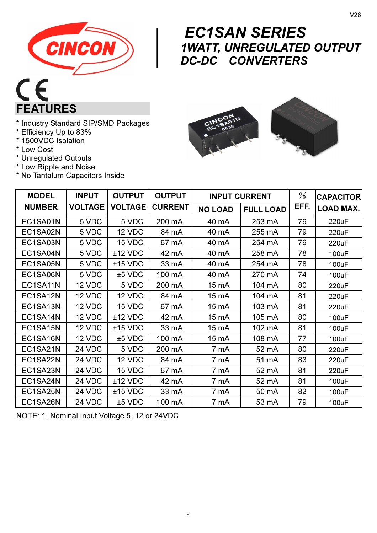

# $C<sub>f</sub>$ FEATURES

- \* Industry Standard SIP/SMD Packages
- \* Efficiency Up to 83%
- \* 1500VDC Isolation
- \* Low Cost
- \* Unregulated Outputs
- \* Low Ripple and Noise
- \* No Tantalum Capacitors Inside

# $\begin{array}{c}\nE \\
\hline\n\text{1}\n\\ \text{D}\n\end{array}$  EC1SAN SERIES 1WATT, UNREGULATED OUTPUT DC-DC CONVERTERS



| <b>MODEL</b>  | <b>INPUT</b>   | <b>OUTPUT</b>  | <b>OUTPUT</b>  |                | <b>INPUT CURRENT</b> | %    | <b>CAPACITOR</b> |
|---------------|----------------|----------------|----------------|----------------|----------------------|------|------------------|
| <b>NUMBER</b> | <b>VOLTAGE</b> | <b>VOLTAGE</b> | <b>CURRENT</b> | <b>NO LOAD</b> | <b>FULL LOAD</b>     | EFF. | <b>LOAD MAX.</b> |
| EC1SA01N      | 5 VDC          | 5 VDC          | 200 mA         | 40 mA          | 253 mA               | 79   | 220uF            |
| EC1SA02N      | 5 VDC          | 12 VDC         | 84 mA          | 40 mA          | 255 mA               | 79   | 220uF            |
| EC1SA03N      | 5 VDC          | 15 VDC         | 67 mA          | 40 mA          | 254 mA               | 79   | 220uF            |
| EC1SA04N      | 5 VDC          | $±12$ VDC      | 42 mA          | 40 mA          | 258 mA               | 78   | 100uF            |
| EC1SA05N      | 5 VDC          | $±15$ VDC      | 33 mA          | 40 mA          | 254 mA               | 78   | 100uF            |
| EC1SA06N      | 5 VDC          | $±5$ VDC       | 100 mA         | 40 mA          | 270 mA               | 74   | 100uF            |
| EC1SA11N      | 12 VDC         | 5 VDC          | 200 mA         | 15 mA          | 104 mA               | 80   | 220uF            |
| EC1SA12N      | 12 VDC         | 12 VDC         | 84 mA          | 15 mA          | 104 mA               | 81   | 220uF            |
| EC1SA13N      | 12 VDC         | 15 VDC         | 67 mA          | 15 mA          | 103 mA               | 81   | 220uF            |
| EC1SA14N      | 12 VDC         | $±12$ VDC      | 42 mA          | 15 mA          | 105 mA               | 80   | 100uF            |
| EC1SA15N      | 12 VDC         | $±15$ VDC      | 33 mA          | 15 mA          | 102 mA               | 81   | 100uF            |
| EC1SA16N      | 12 VDC         | $±5$ VDC       | 100 mA         | 15 mA          | 108 mA               | 77   | 100uF            |
| EC1SA21N      | 24 VDC         | 5 VDC          | 200 mA         | 7 mA           | 52 mA                | 80   | 220uF            |
| EC1SA22N      | 24 VDC         | 12 VDC         | 84 mA          | 7 mA           | 51 mA                | 83   | 220uF            |
| EC1SA23N      | 24 VDC         | 15 VDC         | 67 mA          | 7 mA           | 52 mA                | 81   | 220uF            |
| EC1SA24N      | 24 VDC         | $±12$ VDC      | 42 mA          | 7 mA           | 52 mA                | 81   | 100uF            |
| EC1SA25N      | 24 VDC         | $±15$ VDC      | 33 mA          | 7 mA           | 50 mA                | 82   | 100uF            |
| EC1SA26N      | 24 VDC         | $±5$ VDC       | 100 mA         | 7 mA           | 53 mA                | 79   | 100uF            |

NOTE: 1. Nominal Input Voltage 5, 12 or 24VDC